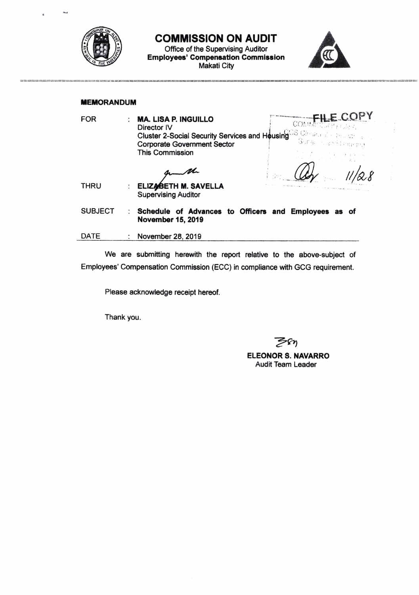

COMMISSION ON AUDIT

Office of the Supervising Auditor Employees' Compensation Commissior Makati City



## **MEMORANDUM**

| <b>FOR</b>     |                      | <b>MA. LISA P. INGUILLO</b><br>CONTA<br>Director IV<br><b>Cluster 2-Social Security Services and Housing Security</b><br>Sora stari (Parma<br><b>Corporate Government Sector</b><br><b>This Commission</b> |
|----------------|----------------------|------------------------------------------------------------------------------------------------------------------------------------------------------------------------------------------------------------|
| <b>THRU</b>    | $\ddot{\phantom{a}}$ | ELIZABETH M. SAVELLA<br><b>Supervising Auditor</b>                                                                                                                                                         |
| <b>SUBJECT</b> |                      | Schedule of Advances to Officers and Employees as of<br><b>November 15, 2019</b>                                                                                                                           |
| DATE           |                      | November 28, 2019                                                                                                                                                                                          |

We are submitting herewith the report relative to the above-subject of Employees'Compensation Commission (ECC) in compliance with GCG requirement.

Please acknowledge receipt hereof.

Thank you

7"r)

ELEONOR S. NAVARRO Audit Team Leader